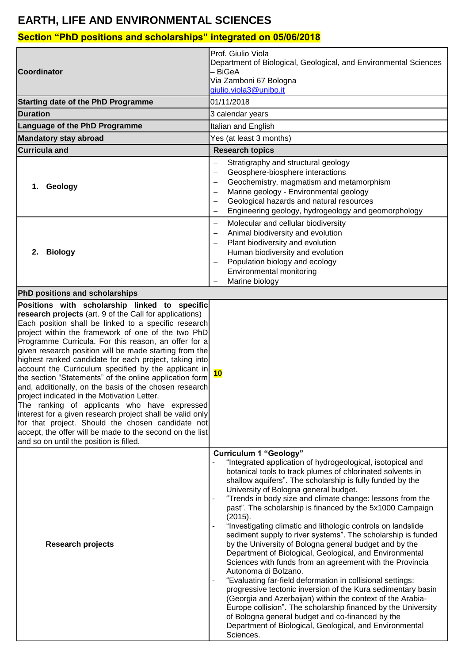## **EARTH, LIFE AND ENVIRONMENTAL SCIENCES**

## **Section "PhD positions and scholarships" integrated on 05/06/2018**

| <b>Coordinator</b><br><b>Starting date of the PhD Programme</b>                                                                                                                                                                                                                                                                                                                                                                                                                                                                                                                                                                                                                                                                                                                                                                                                                                         | Prof. Giulio Viola<br>Department of Biological, Geological, and Environmental Sciences<br>– BiGeA<br>Via Zamboni 67 Bologna<br>giulio.viola3@unibo.it<br>01/11/2018                                                                                                                                                                                                                                                                                                                                                                                                                                                                                                                                                                                                                                                                                                                                                                                                                                                                                                                                                                                                                  |
|---------------------------------------------------------------------------------------------------------------------------------------------------------------------------------------------------------------------------------------------------------------------------------------------------------------------------------------------------------------------------------------------------------------------------------------------------------------------------------------------------------------------------------------------------------------------------------------------------------------------------------------------------------------------------------------------------------------------------------------------------------------------------------------------------------------------------------------------------------------------------------------------------------|--------------------------------------------------------------------------------------------------------------------------------------------------------------------------------------------------------------------------------------------------------------------------------------------------------------------------------------------------------------------------------------------------------------------------------------------------------------------------------------------------------------------------------------------------------------------------------------------------------------------------------------------------------------------------------------------------------------------------------------------------------------------------------------------------------------------------------------------------------------------------------------------------------------------------------------------------------------------------------------------------------------------------------------------------------------------------------------------------------------------------------------------------------------------------------------|
| <b>Duration</b>                                                                                                                                                                                                                                                                                                                                                                                                                                                                                                                                                                                                                                                                                                                                                                                                                                                                                         | 3 calendar years                                                                                                                                                                                                                                                                                                                                                                                                                                                                                                                                                                                                                                                                                                                                                                                                                                                                                                                                                                                                                                                                                                                                                                     |
| Language of the PhD Programme                                                                                                                                                                                                                                                                                                                                                                                                                                                                                                                                                                                                                                                                                                                                                                                                                                                                           | Italian and English                                                                                                                                                                                                                                                                                                                                                                                                                                                                                                                                                                                                                                                                                                                                                                                                                                                                                                                                                                                                                                                                                                                                                                  |
| <b>Mandatory stay abroad</b>                                                                                                                                                                                                                                                                                                                                                                                                                                                                                                                                                                                                                                                                                                                                                                                                                                                                            | Yes (at least 3 months)                                                                                                                                                                                                                                                                                                                                                                                                                                                                                                                                                                                                                                                                                                                                                                                                                                                                                                                                                                                                                                                                                                                                                              |
| <b>Curricula and</b>                                                                                                                                                                                                                                                                                                                                                                                                                                                                                                                                                                                                                                                                                                                                                                                                                                                                                    | <b>Research topics</b>                                                                                                                                                                                                                                                                                                                                                                                                                                                                                                                                                                                                                                                                                                                                                                                                                                                                                                                                                                                                                                                                                                                                                               |
| Geology<br>1.                                                                                                                                                                                                                                                                                                                                                                                                                                                                                                                                                                                                                                                                                                                                                                                                                                                                                           | Stratigraphy and structural geology<br>Geosphere-biosphere interactions<br>Geochemistry, magmatism and metamorphism<br>Marine geology - Environmental geology<br>Geological hazards and natural resources<br>Engineering geology, hydrogeology and geomorphology                                                                                                                                                                                                                                                                                                                                                                                                                                                                                                                                                                                                                                                                                                                                                                                                                                                                                                                     |
| <b>Biology</b><br>2.                                                                                                                                                                                                                                                                                                                                                                                                                                                                                                                                                                                                                                                                                                                                                                                                                                                                                    | Molecular and cellular biodiversity<br>$\qquad \qquad -$<br>Animal biodiversity and evolution<br>Plant biodiversity and evolution<br>Human biodiversity and evolution<br>Population biology and ecology<br><b>Environmental monitoring</b><br>Marine biology                                                                                                                                                                                                                                                                                                                                                                                                                                                                                                                                                                                                                                                                                                                                                                                                                                                                                                                         |
| <b>PhD positions and scholarships</b>                                                                                                                                                                                                                                                                                                                                                                                                                                                                                                                                                                                                                                                                                                                                                                                                                                                                   |                                                                                                                                                                                                                                                                                                                                                                                                                                                                                                                                                                                                                                                                                                                                                                                                                                                                                                                                                                                                                                                                                                                                                                                      |
| Positions with scholarship linked to specific<br>research projects (art. 9 of the Call for applications)<br>Each position shall be linked to a specific research<br>project within the framework of one of the two PhD<br>Programme Curricula. For this reason, an offer for a<br>given research position will be made starting from the<br>highest ranked candidate for each project, taking into<br>account the Curriculum specified by the applicant in<br>the section "Statements" of the online application form<br>and, additionally, on the basis of the chosen research<br>project indicated in the Motivation Letter.<br>The ranking of applicants who have expressed<br>interest for a given research project shall be valid only<br>for that project. Should the chosen candidate not<br>accept, the offer will be made to the second on the list<br>and so on until the position is filled. | 10                                                                                                                                                                                                                                                                                                                                                                                                                                                                                                                                                                                                                                                                                                                                                                                                                                                                                                                                                                                                                                                                                                                                                                                   |
| <b>Research projects</b>                                                                                                                                                                                                                                                                                                                                                                                                                                                                                                                                                                                                                                                                                                                                                                                                                                                                                | <b>Curriculum 1 "Geology"</b><br>"Integrated application of hydrogeological, isotopical and<br>botanical tools to track plumes of chlorinated solvents in<br>shallow aquifers". The scholarship is fully funded by the<br>University of Bologna general budget.<br>"Trends in body size and climate change: lessons from the<br>$\blacksquare$<br>past". The scholarship is financed by the 5x1000 Campaign<br>(2015).<br>"Investigating climatic and lithologic controls on landslide<br>$\overline{\phantom{a}}$<br>sediment supply to river systems". The scholarship is funded<br>by the University of Bologna general budget and by the<br>Department of Biological, Geological, and Environmental<br>Sciences with funds from an agreement with the Provincia<br>Autonoma di Bolzano.<br>"Evaluating far-field deformation in collisional settings:<br>progressive tectonic inversion of the Kura sedimentary basin<br>(Georgia and Azerbaijan) within the context of the Arabia-<br>Europe collision". The scholarship financed by the University<br>of Bologna general budget and co-financed by the<br>Department of Biological, Geological, and Environmental<br>Sciences. |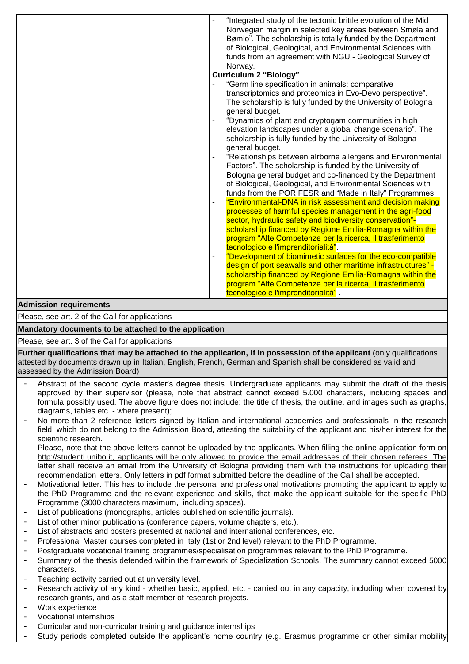|                        | "Integrated study of the tectonic brittle evolution of the Mid<br>Norwegian margin in selected key areas between Smøla and<br>Bømlo". The scholarship is totally funded by the Department<br>of Biological, Geological, and Environmental Sciences with<br>funds from an agreement with NGU - Geological Survey of<br>Norway.                                                                                                                                                                                                                                                                                                                                                                                                                                                                                                                                                                                                                                                                                                                                                                                                                                                                                                                                                                                                 |
|------------------------|-------------------------------------------------------------------------------------------------------------------------------------------------------------------------------------------------------------------------------------------------------------------------------------------------------------------------------------------------------------------------------------------------------------------------------------------------------------------------------------------------------------------------------------------------------------------------------------------------------------------------------------------------------------------------------------------------------------------------------------------------------------------------------------------------------------------------------------------------------------------------------------------------------------------------------------------------------------------------------------------------------------------------------------------------------------------------------------------------------------------------------------------------------------------------------------------------------------------------------------------------------------------------------------------------------------------------------|
|                        |                                                                                                                                                                                                                                                                                                                                                                                                                                                                                                                                                                                                                                                                                                                                                                                                                                                                                                                                                                                                                                                                                                                                                                                                                                                                                                                               |
|                        | <b>Curriculum 2 "Biology"</b><br>"Germ line specification in animals: comparative<br>transcriptomics and proteomics in Evo-Devo perspective".<br>The scholarship is fully funded by the University of Bologna<br>general budget.<br>"Dynamics of plant and cryptogam communities in high<br>$\overline{\phantom{a}}$<br>elevation landscapes under a global change scenario". The<br>scholarship is fully funded by the University of Bologna<br>general budget.<br>"Relationships between alrborne allergens and Environmental<br>Factors". The scholarship is funded by the University of<br>Bologna general budget and co-financed by the Department<br>of Biological, Geological, and Environmental Sciences with<br>funds from the POR FESR and "Made in Italy" Programmes.<br>"Environmental-DNA in risk assessment and decision making<br>$\overline{\phantom{a}}$<br>processes of harmful species management in the agri-food<br>sector, hydraulic safety and biodiversity conservation"-<br>scholarship financed by Regione Emilia-Romagna within the<br>program "Alte Competenze per la ricerca, il trasferimento<br>tecnologico e l'imprenditorialità".<br>"Development of biomimetic surfaces for the eco-compatible<br>$\overline{\phantom{a}}$<br>design of port seawalls and other maritime infrastructures" - |
|                        | scholarship financed by Regione Emilia-Romagna within the                                                                                                                                                                                                                                                                                                                                                                                                                                                                                                                                                                                                                                                                                                                                                                                                                                                                                                                                                                                                                                                                                                                                                                                                                                                                     |
|                        | program "Alte Competenze per la ricerca, il trasferimento<br>tecnologico e l'imprenditorialità".                                                                                                                                                                                                                                                                                                                                                                                                                                                                                                                                                                                                                                                                                                                                                                                                                                                                                                                                                                                                                                                                                                                                                                                                                              |
| Admission requirements |                                                                                                                                                                                                                                                                                                                                                                                                                                                                                                                                                                                                                                                                                                                                                                                                                                                                                                                                                                                                                                                                                                                                                                                                                                                                                                                               |

## **Admission requirements**

Please, see art. 2 of the Call for applications

**Mandatory documents to be attached to the application** 

Please, see art. 3 of the Call for applications

**Further qualifications that may be attached to the application, if in possession of the applicant** (only qualifications attested by documents drawn up in Italian, English, French, German and Spanish shall be considered as valid and assessed by the Admission Board)

- Abstract of the second cycle master's degree thesis. Undergraduate applicants may submit the draft of the thesis approved by their supervisor (please, note that abstract cannot exceed 5.000 characters, including spaces and formula possibly used. The above figure does not include: the title of thesis, the outline, and images such as graphs, diagrams, tables etc. - where present);
- No more than 2 reference letters signed by Italian and international academics and professionals in the research field, which do not belong to the Admission Board, attesting the suitability of the applicant and his/her interest for the scientific research.

Please, note that the above letters cannot be uploaded by the applicants. When filling the online application form on [http://studenti.unibo.it,](http://studenti.unibo.it/) applicants will be only allowed to provide the email addresses of their chosen referees. The latter shall receive an email from the University of Bologna providing them with the instructions for uploading their recommendation letters. Only letters in pdf format submitted before the deadline of the Call shall be accepted.

- Motivational letter. This has to include the personal and professional motivations prompting the applicant to apply to the PhD Programme and the relevant experience and skills, that make the applicant suitable for the specific PhD Programme (3000 characters maximum, including spaces).
- List of publications (monographs, articles published on scientific journals).
- List of other minor publications (conference papers, volume chapters, etc.).
- List of abstracts and posters presented at national and international conferences, etc.
- Professional Master courses completed in Italy (1st or 2nd level) relevant to the PhD Programme.
- Postgraduate vocational training programmes/specialisation programmes relevant to the PhD Programme.
- Summary of the thesis defended within the framework of Specialization Schools. The summary cannot exceed 5000 characters.
- Teaching activity carried out at university level.
- Research activity of any kind whether basic, applied, etc. carried out in any capacity, including when covered by research grants, and as a staff member of research projects.
- Work experience
- Vocational internships
- Curricular and non-curricular training and guidance internships
- Study periods completed outside the applicant's home country (e.g. Erasmus programme or other similar mobility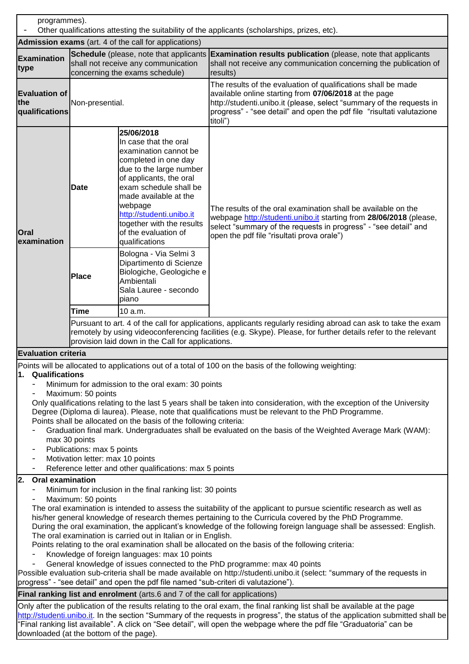programmes). Other qualifications attesting the suitability of the applicants (scholarships, prizes, etc). **Admission exams** (art. 4 of the call for applications) **Examination type Schedule** (please, note that applicants **Examination results publication** (please, note that applicants shall not receive any communication concerning the exams schedule) shall not receive any communication concerning the publication of results) **Evaluation of the qualifications**  Non-presential. The results of the evaluation of qualifications shall be made available online starting from **07/06/2018** at the page [http://studenti.unibo.it](http://studenti.unibo.it/) (please, select "summary of the requests in progress" - "see detail" and open the pdf file "risultati valutazione titoli") **Oral examination Date 25/06/2018** In case that the oral examination cannot be completed in one day due to the large number of applicants, the oral exam schedule shall be made available at the webpage [http://studenti.unibo.it](http://studenti.unibo.it/) together with the results of the evaluation of qualifications The results of the oral examination shall be available on the webpage [http://studenti.unibo.it](http://studenti.unibo.it/) starting from **28/06/2018** (please, select "summary of the requests in progress" - "see detail" and open the pdf file "risultati prova orale") **Place** Bologna - Via Selmi 3 Dipartimento di Scienze Biologiche, Geologiche e Ambientali Sala Lauree - secondo piano **Time** 10 a.m. Pursuant to art. 4 of the call for applications, applicants regularly residing abroad can ask to take the exam remotely by using videoconferencing facilities (e.g. Skype). Please, for further details refer to the relevant provision laid down in the Call for applications. **Evaluation criteria** Points will be allocated to applications out of a total of 100 on the basis of the following weighting: **1. Qualifications**  Minimum for admission to the oral exam: 30 points Maximum: 50 points Only qualifications relating to the last 5 years shall be taken into consideration, with the exception of the University Degree (Diploma di laurea). Please, note that qualifications must be relevant to the PhD Programme. Points shall be allocated on the basis of the following criteria: - Graduation final mark. Undergraduates shall be evaluated on the basis of the Weighted Average Mark (WAM): max 30 points Publications: max 5 points Motivation letter: max 10 points Reference letter and other qualifications: max 5 points **2. Oral examination** Minimum for inclusion in the final ranking list: 30 points Maximum: 50 points The oral examination is intended to assess the suitability of the applicant to pursue scientific research as well as his/her general knowledge of research themes pertaining to the Curricula covered by the PhD Programme. During the oral examination, the applicant's knowledge of the following foreign language shall be assessed: English. The oral examination is carried out in Italian or in English. Points relating to the oral examination shall be allocated on the basis of the following criteria: Knowledge of foreign languages: max 10 points - General knowledge of issues connected to the PhD programme: max 40 points

Possible evaluation sub-criteria shall be made available on http://studenti.unibo.it (select: "summary of the requests in progress" - "see detail" and open the pdf file named "sub-criteri di valutazione").

## **Final ranking list and enrolment** (arts.6 and 7 of the call for applications)

Only after the publication of the results relating to the oral exam, the final ranking list shall be available at the page [http://studenti.unibo.it.](http://studenti.unibo.it/) In the section "Summary of the requests in progress", the status of the application submitted shall be "Final ranking list available". A click on "See detail", will open the webpage where the pdf file "Graduatoria" can be downloaded (at the bottom of the page).